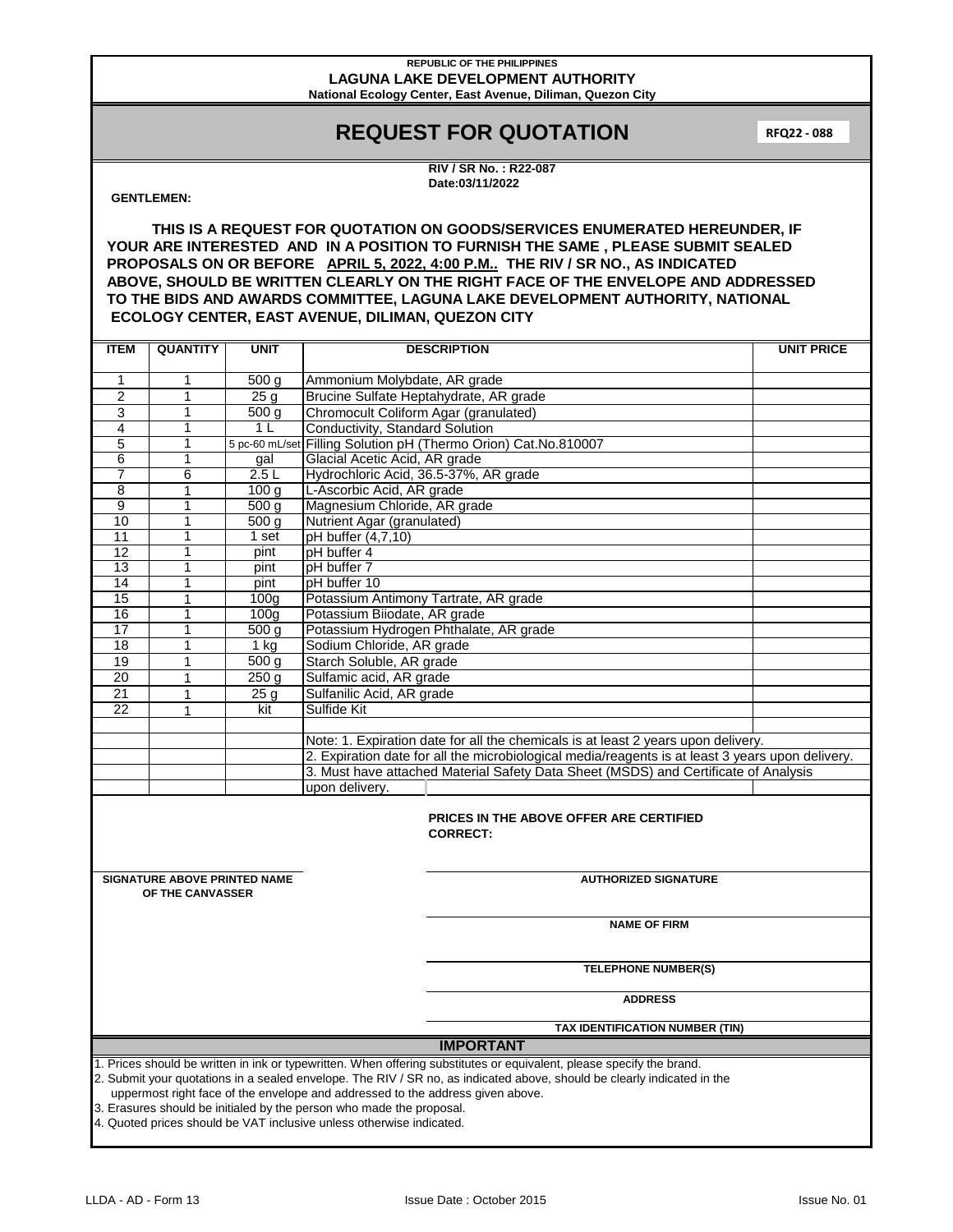#### **REPUBLIC OF THE PHILIPPINES LAGUNA LAKE DEVELOPMENT AUTHORITY National Ecology Center, East Avenue, Diliman, Quezon City**

## **REQUEST FOR QUOTATION**

**RFQ22 - 088**

**RIV / SR No. : R22-087 Date:03/11/2022**

### **GENTLEMEN:**

**THIS IS A REQUEST FOR QUOTATION ON GOODS/SERVICES ENUMERATED HEREUNDER, IF YOUR ARE INTERESTED AND IN A POSITION TO FURNISH THE SAME , PLEASE SUBMIT SEALED PROPOSALS ON OR BEFORE APRIL 5, 2022, 4:00 P.M.. THE RIV / SR NO., AS INDICATED ABOVE, SHOULD BE WRITTEN CLEARLY ON THE RIGHT FACE OF THE ENVELOPE AND ADDRESSED TO THE BIDS AND AWARDS COMMITTEE, LAGUNA LAKE DEVELOPMENT AUTHORITY, NATIONAL ECOLOGY CENTER, EAST AVENUE, DILIMAN, QUEZON CITY**

| <b>ITEM</b>                                                                                                             | <b>QUANTITY</b>            | <b>UNIT</b>            | <b>DESCRIPTION</b>                                                                               | <b>UNIT PRICE</b> |  |  |  |  |
|-------------------------------------------------------------------------------------------------------------------------|----------------------------|------------------------|--------------------------------------------------------------------------------------------------|-------------------|--|--|--|--|
|                                                                                                                         |                            |                        |                                                                                                  |                   |  |  |  |  |
| $\mathbf{1}$                                                                                                            | 1                          | 500 <sub>g</sub>       | Ammonium Molybdate, AR grade                                                                     |                   |  |  |  |  |
| 2                                                                                                                       | 1                          | 25g                    | Brucine Sulfate Heptahydrate, AR grade                                                           |                   |  |  |  |  |
| 3                                                                                                                       | 1                          | 500 <sub>q</sub>       | Chromocult Coliform Agar (granulated)                                                            |                   |  |  |  |  |
| 4                                                                                                                       | 1                          | 1 <sup>L</sup>         | Conductivity, Standard Solution                                                                  |                   |  |  |  |  |
| 5                                                                                                                       | $\mathbf{1}$               |                        | 5 pc-60 mL/set Filling Solution pH (Thermo Orion) Cat.No.810007                                  |                   |  |  |  |  |
| 6                                                                                                                       | 1                          | gal                    | Glacial Acetic Acid, AR grade                                                                    |                   |  |  |  |  |
| $\overline{7}$                                                                                                          | 6                          | 2.5L                   | Hydrochloric Acid, 36.5-37%, AR grade                                                            |                   |  |  |  |  |
| 8                                                                                                                       | 1                          | 100 <sub>q</sub>       | L-Ascorbic Acid, AR grade                                                                        |                   |  |  |  |  |
| 9<br>10                                                                                                                 | 1<br>$\mathbf{1}$          | 500 <sub>q</sub>       | Magnesium Chloride, AR grade                                                                     |                   |  |  |  |  |
| 11                                                                                                                      | $\overline{1}$             | 500 g<br>1 set         | Nutrient Agar (granulated)<br>pH buffer (4,7,10)                                                 |                   |  |  |  |  |
| 12                                                                                                                      | $\overline{1}$             |                        | pH buffer 4                                                                                      |                   |  |  |  |  |
| 13                                                                                                                      | 1                          | pint<br>pint           | pH buffer 7                                                                                      |                   |  |  |  |  |
| 14                                                                                                                      | 1                          | pint                   | pH buffer 10                                                                                     |                   |  |  |  |  |
| 15                                                                                                                      | 1                          | 100 <sub>q</sub>       | Potassium Antimony Tartrate, AR grade                                                            |                   |  |  |  |  |
| 16                                                                                                                      | 1                          | 100 <sub>q</sub>       | Potassium Biiodate, AR grade                                                                     |                   |  |  |  |  |
| $\overline{17}$                                                                                                         | 1                          | 500 g                  | Potassium Hydrogen Phthalate, AR grade                                                           |                   |  |  |  |  |
| 18                                                                                                                      | 1                          | $1$ kg                 | Sodium Chloride, AR grade                                                                        |                   |  |  |  |  |
| 19                                                                                                                      | $\mathbf{1}$               | 500 g                  | Starch Soluble, AR grade                                                                         |                   |  |  |  |  |
|                                                                                                                         |                            |                        | Sulfamic acid, AR grade                                                                          |                   |  |  |  |  |
| 20                                                                                                                      | $\mathbf{1}$               | 250 <sub>g</sub>       |                                                                                                  |                   |  |  |  |  |
| 21<br>$\overline{22}$                                                                                                   | 1<br>1                     | 25 <sub>g</sub><br>kit | Sulfanilic Acid, AR grade<br>Sulfide Kit                                                         |                   |  |  |  |  |
|                                                                                                                         |                            |                        |                                                                                                  |                   |  |  |  |  |
|                                                                                                                         |                            |                        | Note: 1. Expiration date for all the chemicals is at least 2 years upon delivery.                |                   |  |  |  |  |
|                                                                                                                         |                            |                        | 2. Expiration date for all the microbiological media/reagents is at least 3 years upon delivery. |                   |  |  |  |  |
|                                                                                                                         |                            |                        | 3. Must have attached Material Safety Data Sheet (MSDS) and Certificate of Analysis              |                   |  |  |  |  |
|                                                                                                                         |                            |                        | upon delivery.                                                                                   |                   |  |  |  |  |
|                                                                                                                         |                            |                        |                                                                                                  |                   |  |  |  |  |
|                                                                                                                         |                            |                        | PRICES IN THE ABOVE OFFER ARE CERTIFIED                                                          |                   |  |  |  |  |
|                                                                                                                         |                            |                        | <b>CORRECT:</b>                                                                                  |                   |  |  |  |  |
|                                                                                                                         |                            |                        |                                                                                                  |                   |  |  |  |  |
|                                                                                                                         |                            |                        |                                                                                                  |                   |  |  |  |  |
| <b>SIGNATURE ABOVE PRINTED NAME</b><br><b>AUTHORIZED SIGNATURE</b>                                                      |                            |                        |                                                                                                  |                   |  |  |  |  |
| OF THE CANVASSER                                                                                                        |                            |                        |                                                                                                  |                   |  |  |  |  |
|                                                                                                                         |                            |                        |                                                                                                  |                   |  |  |  |  |
|                                                                                                                         |                            |                        | <b>NAME OF FIRM</b>                                                                              |                   |  |  |  |  |
|                                                                                                                         |                            |                        |                                                                                                  |                   |  |  |  |  |
|                                                                                                                         |                            |                        |                                                                                                  |                   |  |  |  |  |
|                                                                                                                         | <b>TELEPHONE NUMBER(S)</b> |                        |                                                                                                  |                   |  |  |  |  |
|                                                                                                                         | <b>ADDRESS</b>             |                        |                                                                                                  |                   |  |  |  |  |
|                                                                                                                         |                            |                        |                                                                                                  |                   |  |  |  |  |
| TAX IDENTIFICATION NUMBER (TIN)                                                                                         |                            |                        |                                                                                                  |                   |  |  |  |  |
| <b>IMPORTANT</b>                                                                                                        |                            |                        |                                                                                                  |                   |  |  |  |  |
| 1. Prices should be written in ink or typewritten. When offering substitutes or equivalent, please specify the brand.   |                            |                        |                                                                                                  |                   |  |  |  |  |
| 2. Submit your quotations in a sealed envelope. The RIV / SR no, as indicated above, should be clearly indicated in the |                            |                        |                                                                                                  |                   |  |  |  |  |
| uppermost right face of the envelope and addressed to the address given above.                                          |                            |                        |                                                                                                  |                   |  |  |  |  |
| 3. Erasures should be initialed by the person who made the proposal.                                                    |                            |                        |                                                                                                  |                   |  |  |  |  |
| 4. Quoted prices should be VAT inclusive unless otherwise indicated.                                                    |                            |                        |                                                                                                  |                   |  |  |  |  |